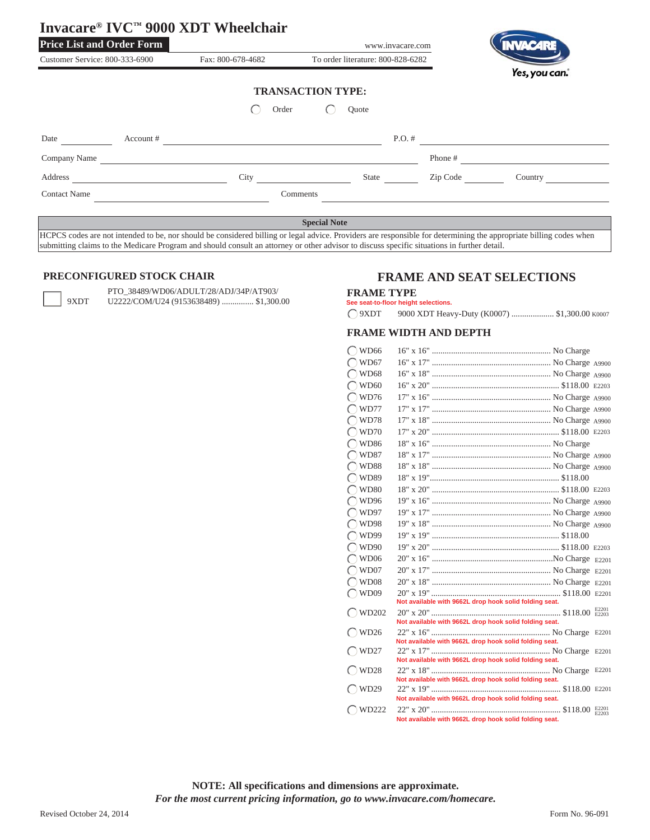|                                  |           | Invacare® IVC™ 9000 XDT Wheelchair |                                   |          |               |
|----------------------------------|-----------|------------------------------------|-----------------------------------|----------|---------------|
| <b>Price List and Order Form</b> |           |                                    | www.invacare.com                  |          |               |
| Customer Service: 800-333-6900   |           | Fax: 800-678-4682                  | To order literature: 800-828-6282 |          |               |
|                                  |           | Order                              | <b>TRANSACTION TYPE:</b><br>Quote |          | Yes, you can. |
| Date                             | Account # |                                    | $P.O.$ #                          |          |               |
| Company Name                     |           |                                    |                                   | Phone #  |               |
| Address                          |           | City                               | State                             | Zip Code | Country       |
| <b>Contact Name</b>              |           |                                    | Comments                          |          |               |
|                                  |           |                                    |                                   |          |               |
|                                  |           |                                    | <b>Special Note</b>               |          |               |

HCPCS codes are not intended to be, nor should be considered billing or legal advice. Providers are responsible for determining the appropriate billing codes when submitting claims to the Medicare Program and should consult an attorney or other advisor to discuss specific situations in further detail.

#### **PRECONFIGURED STOCK CHAIR**

 PTO\_38489/WD06/ADULT/28/ADJ/34P/AT903/ 9XDT U2222/COM/U24 (9153638489) ................ \$1,300.00

## **FRAME AND SEAT SELECTIONS**

#### **FRAME TYPE**

**See seat-to-floor height selections.**

9XDT 9000 XDT Heavy-Duty (K0007) .................... \$1,300.00 K0007

## **FRAME WIDTH AND DEPTH**

| $\bigcap$ WD66   |                                                        |       |
|------------------|--------------------------------------------------------|-------|
| $\bigcirc$ WD67  |                                                        |       |
| $\bigcap$ WD68   |                                                        |       |
| $\bigcap$ WD60   |                                                        |       |
| $\bigcap$ WD76   |                                                        |       |
| $\bigcap WDT7$   |                                                        |       |
| $\bigcap$ WD78   |                                                        |       |
| $\bigcirc$ WD70  |                                                        |       |
| $\bigcap$ WD86   |                                                        |       |
| $\bigcap WDS7$   |                                                        |       |
| $\bigcirc$ WD88  |                                                        |       |
| $\bigcap$ WD89   |                                                        |       |
|                  |                                                        |       |
| $\bigcap$ WD80   |                                                        |       |
| $\bigcap WD96$   |                                                        |       |
| $\bigcap WD97$   |                                                        |       |
| $\bigcirc$ WD98  |                                                        |       |
| $\bigcap$ WD99   |                                                        |       |
| $\bigcap$ WD90   |                                                        |       |
| $\bigcap$ WD06   |                                                        |       |
| $\bigcap W$ D07  |                                                        |       |
| $\bigcap$ WD08   |                                                        |       |
| $\bigcirc$ WD09  |                                                        |       |
|                  | Not available with 9662L drop hook solid folding seat. |       |
| $\bigcirc$ WD202 |                                                        |       |
|                  | Not available with 9662L drop hook solid folding seat. |       |
| $\bigcap$ WD26   | Not available with 9662L drop hook solid folding seat. |       |
| $\bigcap$ WD27   |                                                        |       |
|                  | Not available with 9662L drop hook solid folding seat. |       |
| $\bigcap$ WD28   |                                                        | E2201 |
|                  | Not available with 9662L drop hook solid folding seat. |       |
| $\bigcap$ WD29   |                                                        |       |
|                  | Not available with 9662L drop hook solid folding seat. |       |
| $\bigcap$ WD222  | Not available with 9662L drop hook solid folding seat. |       |
|                  |                                                        |       |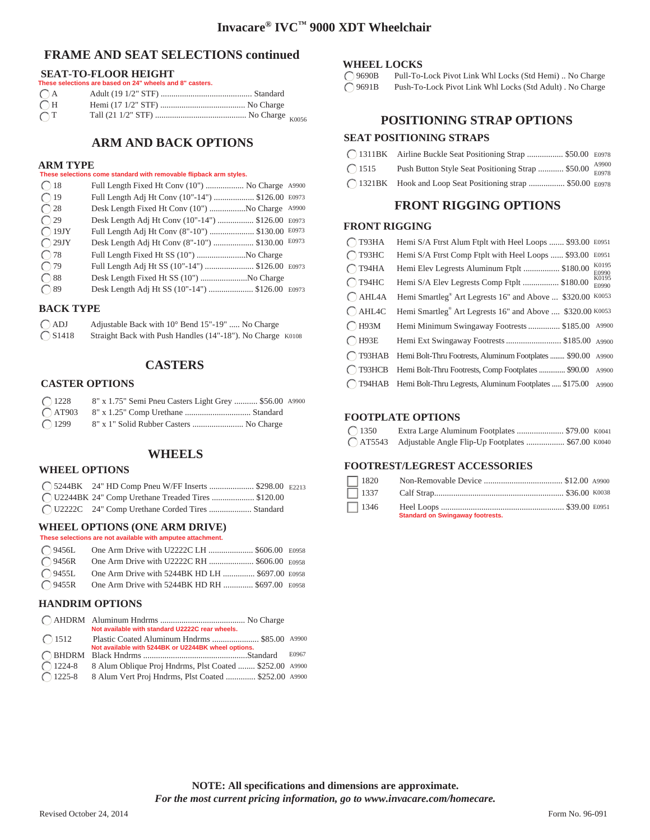## **FRAME AND SEAT SELECTIONS continued**

## **SEAT-TO-FLOOR HEIGHT**

|                  | These selections are based on 24" wheels and 8" casters. |  |
|------------------|----------------------------------------------------------|--|
|                  |                                                          |  |
| $\overline{C}$ H |                                                          |  |
| $\overline{C}T$  |                                                          |  |

# **ARM AND BACK OPTIONS**

#### **ARM TYPE**

#### **These selections come standard with removable flipback arm styles.**

| $\bigcap$ 18   | Full Length Fixed Ht Conv (10")  No Charge A9900  |       |
|----------------|---------------------------------------------------|-------|
| $\bigcap$ 19   | Full Length Adj Ht Conv (10"-14")  \$126.00 E0973 |       |
| $\bigcap$ 28   | Desk Length Fixed Ht Conv (10") No Charge A9900   |       |
| $\bigcap$ 29   | Desk Length Adj Ht Conv (10"-14")  \$126.00 E0973 |       |
| $\bigcap$ 19JY | Full Length Adj Ht Conv (8"-10")  \$130.00 E0973  |       |
| $\bigcap$ 29JY | Desk Length Adj Ht Conv (8"-10")  \$130.00        | E0973 |
| $\bigcap$ 78   | Full Length Fixed Ht SS (10") No Charge           |       |
| $\bigcap$ 79   | Full Length Adj Ht SS (10"-14")  \$126.00 E0973   |       |
| $\bigcap$ 88   | Desk Length Fixed Ht SS (10") No Charge           |       |
| $\bigcirc$ 89  | Desk Length Adj Ht SS (10"-14")  \$126.00 E0973   |       |

## **BACK TYPE**

| $\bigcirc$ ADJ               | Adjustable Back with 10° Bend 15"-19"  No Charge           |  |
|------------------------------|------------------------------------------------------------|--|
| $\bigcirc$ S <sub>1418</sub> | Straight Back with Push Handles (14"-18"). No Charge K0108 |  |

## **CASTERS**

#### **CASTER OPTIONS**

| $\bigcap$ 1228 | 8" x 1.75" Semi Pneu Casters Light Grey  \$56.00 A9900 |  |
|----------------|--------------------------------------------------------|--|
|                |                                                        |  |
| $\bigcap$ 1299 | 8" x 1" Solid Rubber Casters  No Charge                |  |

## **WHEELS**

#### **WHEEL OPTIONS**

| C 5244BK 24" HD Comp Pneu W/FF Inserts  \$298.00 E2213 |  |
|--------------------------------------------------------|--|
| ◯ U2244BK 24" Comp Urethane Treaded Tires  \$120.00    |  |
| ◯ U2222C 24" Comp Urethane Corded Tires  Standard      |  |

### **WHEEL OPTIONS (ONE ARM DRIVE)**

| These selections are not available with amputee attachment. |  |
|-------------------------------------------------------------|--|
| (9456L One Arm Drive with U2222C LH  \$606.00 E0958         |  |
| ◯ 9456R One Arm Drive with U2222C RH  \$606.00 E0958        |  |
| ◯ 9455L One Arm Drive with 5244BK HD LH  \$697.00 E0958     |  |
| ◯ 9455R One Arm Drive with 5244BK HD RH  \$697.00 E0958     |  |

#### **HANDRIM OPTIONS**

|                  | Not available with standard U2222C rear wheels.         |       |
|------------------|---------------------------------------------------------|-------|
| $\bigcap$ 1512   | Plastic Coated Aluminum Hndrms  \$85.00 A9900           |       |
|                  | Not available with 5244BK or U2244BK wheel options.     |       |
|                  |                                                         | E0967 |
| $\bigcap$ 1224-8 | 8 Alum Oblique Proj Hndrms, Plst Coated  \$252.00 A9900 |       |
| $\bigcap$ 1225-8 | 8 Alum Vert Proj Hndrms, Plst Coated  \$252.00 A9900    |       |

#### **WHEEL LOCKS**

9690B Pull-To-Lock Pivot Link Whl Locks (Std Hemi) .. No Charge 9691B Push-To-Lock Pivot Link Whl Locks (Std Adult) . No Charge

## **POSITIONING STRAP OPTIONS**

#### **SEAT POSITIONING STRAPS**

|                | ◯ 1311BK Airline Buckle Seat Positioning Strap  \$50.00 E0978 |  |
|----------------|---------------------------------------------------------------|--|
| $\bigcap$ 1515 | Push Button Style Seat Positioning Strap  \$50.00 Proof       |  |
|                | ◯ 1321BK Hook and Loop Seat Positioning strap  \$50.00 E0978  |  |

# **FRONT RIGGING OPTIONS**

## **FRONT RIGGING**

| T93HA            | Hemi S/A Ftrst Alum Ftplt with Heel Loops  \$93.00                    | E0951          |
|------------------|-----------------------------------------------------------------------|----------------|
| $\bigcap$ T93HC  | Hemi S/A Ftrst Comp Ftplt with Heel Loops  \$93.00                    | E0951          |
| $\bigcap$ T94HA  | Hemi Elev Legrests Aluminum Ftplt  \$180.00                           | K0195<br>E0990 |
| $\bigcap$ T94HC  | Hemi S/A Elev Legrests Comp Ftplt  \$180.00                           | K0195<br>E0990 |
| $\bigcap$ AHL4A  | Hemi Smartleg <sup>®</sup> Art Legrests 16" and Above  \$320.00       | K0053          |
| $\bigcap$ AHL4C  | Hemi Smartleg <sup>®</sup> Art Legrests 16" and Above  \$320.00 K0053 |                |
| $\bigcap$ H93M   | Hemi Minimum Swingaway Footrests  \$185.00 A9900                      |                |
| $\bigcap$ H93E   | Hemi Ext Swingaway Footrests  \$185.00 A9900                          |                |
| $\bigcap$ T93HAB | Hemi Bolt-Thru Footrests, Aluminum Footplates  \$90.00 A9900          |                |
| $\bigcap$ T93HCB | Hemi Bolt-Thru Footrests, Comp Footplates  \$90.00                    | A9900          |
|                  | (T94HAB Hemi Bolt-Thru Legrests, Aluminum Footplates  \$175.00        | A9900          |

#### **FOOTPLATE OPTIONS**

| $\bigcirc$ 1350 |                                                             |  |
|-----------------|-------------------------------------------------------------|--|
|                 | C AT5543 Adjustable Angle Flip-Up Footplates  \$67.00 K0040 |  |

#### **FOOTREST/LEGREST ACCESSORIES**

| E2213 | $\Box$ 1820 |                                         |  |
|-------|-------------|-----------------------------------------|--|
|       |             |                                         |  |
|       |             | <b>Standard on Swingaway footrests.</b> |  |